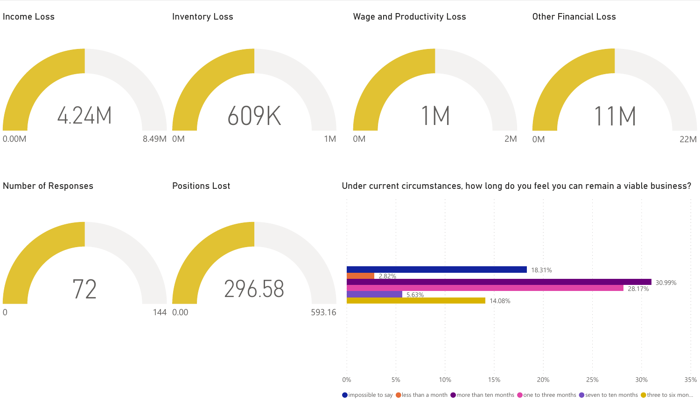